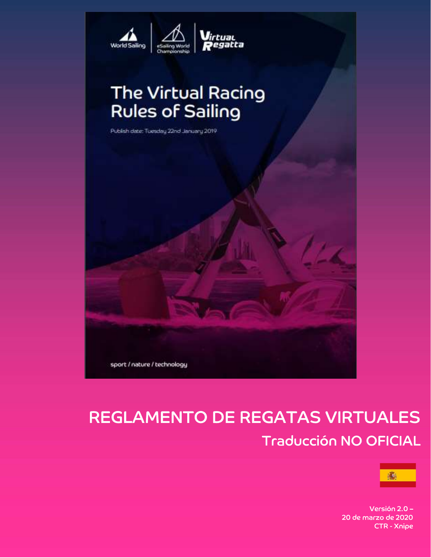

# The Virtual Racing<br>Rules of Sailing

Publish date: Tuesday 22nd January 2019



# **REGLAMENTO DE REGATAS VIRTUALES Traducción NO OFICIAL**



Versión 2.0 -20 de marzo de 2020 **CTR - Xnipe**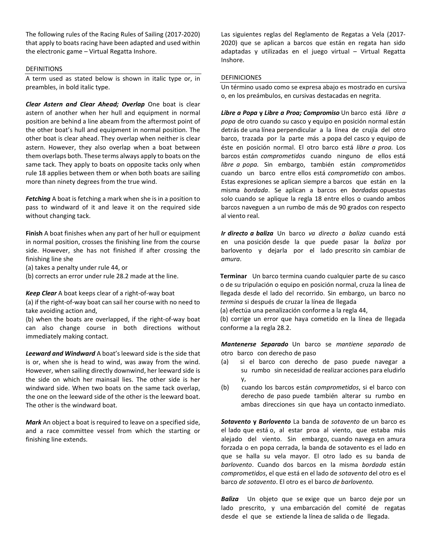The following rules of the Racing Rules of Sailing (2017-2020) that apply to boats racing have been adapted and used within the electronic game – Virtual Regatta Inshore.

#### DEFINITIONS

A term used as stated below is shown in italic type or, in preambles, in bold italic type.

Clear Astern and Clear Ahead; Overlap One boat is clear astern of another when her hull and equipment in normal position are behind a line abeam from the aftermost point of the other boat's hull and equipment in normal position. The other boat is clear ahead. They overlap when neither is clear astern. However, they also overlap when a boat between them overlaps both. These terms always apply to boats on the same tack. They apply to boats on opposite tacks only when rule 18 applies between them or when both boats are sailing more than ninety degrees from the true wind.

Fetching A boat is fetching a mark when she is in a position to pass to windward of it and leave it on the required side without changing tack.

Finish A boat finishes when any part of her hull or equipment in normal position, crosses the finishing line from the course side. However, she has not finished if after crossing the finishing line she

(a) takes a penalty under rule 44, or

(b) corrects an error under rule 28.2 made at the line.

Keep Clear A boat keeps clear of a right-of-way boat

(a) if the right-of-way boat can sail her course with no need to take avoiding action and,

(b) when the boats are overlapped, if the right-of-way boat can also change course in both directions without immediately making contact.

Leeward and Windward A boat's leeward side is the side that is or, when she is head to wind, was away from the wind. However, when sailing directly downwind, her leeward side is the side on which her mainsail lies. The other side is her windward side. When two boats on the same tack overlap, the one on the leeward side of the other is the leeward boat. The other is the windward boat.

Mark An object a boat is required to leave on a specified side, and a race committee vessel from which the starting or finishing line extends.

Las siguientes reglas del Reglamento de Regatas a Vela (2017- 2020) que se aplican a barcos que están en regata han sido adaptadas y utilizadas en el juego virtual – Virtual Regatta Inshore.

#### DEFINICIONES

Un término usado como se expresa abajo es mostrado en cursiva o, en los preámbulos, en cursivas destacadas en negrita.

Libre a Popa y Libre a Proa; Compromiso Un barco está libre a popa de otro cuando su casco y equipo en posición normal están detrás de una línea perpendicular a la línea de crujía del otro barco, trazada por la parte más a popa del casco y equipo de éste en posición normal. El otro barco está libre a proa. Los barcos están comprometidos cuando ninguno de ellos está libre a popa. Sin embargo, también están comprometidos cuando un barco entre ellos está comprometido con ambos. Estas expresiones se aplican siempre a barcos que están en la misma bordada. Se aplican a barcos en bordadas opuestas solo cuando se aplique la regla 18 entre ellos o cuando ambos barcos naveguen a un rumbo de más de 90 grados con respecto al viento real.

Ir directo a baliza Un barco va directo a baliza cuando está en una posición desde la que puede pasar la baliza por barlovento y dejarla por el lado prescrito sin cambiar de amura.

Terminar Un barco termina cuando cualquier parte de su casco o de su tripulación o equipo en posición normal, cruza la línea de llegada desde el lado del recorrido. Sin embargo, un barco no termina si después de cruzar la línea de llegada

(a) efectúa una penalización conforme a la regla 44,

(b) corrige un error que haya cometido en la línea de llegada conforme a la regla 28.2.

Mantenerse Separado Un barco se mantiene separado de otro barco con derecho de paso

- (a) si el barco con derecho de paso puede navegar a su rumbo sin necesidad de realizar acciones para eludirlo y,
- (b) cuando los barcos están comprometidos, si el barco con derecho de paso puede también alterar su rumbo en ambas direcciones sin que haya un contacto inmediato.

Sotavento y Barlovento La banda de sotavento de un barco es el lado que está o, al estar proa al viento, que estaba más alejado del viento. Sin embargo, cuando navega en amura forzada o en popa cerrada, la banda de sotavento es el lado en que se halla su vela mayor. El otro lado es su banda de barlovento. Cuando dos barcos en la misma bordada están comprometidos, el que está en el lado de sotavento del otro es el barco de sotavento. El otro es el barco de barlovento.

Baliza Un objeto que se exige que un barco deje por un lado prescrito, y una embarcación del comité de regatas desde el que se extiende la línea de salida o de llegada.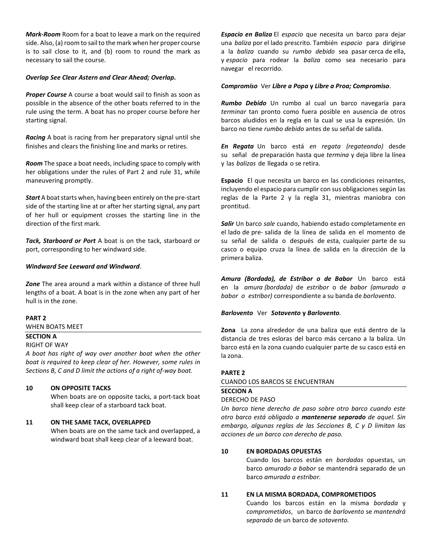Mark-Room Room for a boat to leave a mark on the required side. Also, (a) room to sail to the mark when her proper course is to sail close to it, and (b) room to round the mark as necessary to sail the course.

#### Overlap See Clear Astern and Clear Ahead; Overlap.

**Proper Course** A course a boat would sail to finish as soon as possible in the absence of the other boats referred to in the rule using the term. A boat has no proper course before her starting signal.

**Racing** A boat is racing from her preparatory signal until she finishes and clears the finishing line and marks or retires.

Room The space a boat needs, including space to comply with her obligations under the rules of Part 2 and rule 31, while maneuvering promptly.

**Start** A boat starts when, having been entirely on the pre-start side of the starting line at or after her starting signal, any part of her hull or equipment crosses the starting line in the direction of the first mark.

Tack, Starboard or Port A boat is on the tack, starboard or port, corresponding to her windward side.

# Windward See Leeward and Windward.

Zone The area around a mark within a distance of three hull lengths of a boat. A boat is in the zone when any part of her hull is in the zone.

#### PART 2

WHEN BOATS MEET

#### SECTION A

# RIGHT OF WAY

A boat has right of way over another boat when the other boat is required to keep clear of her. However, some rules in Sections B, C and D limit the actions of a right of-way boat.

#### 10 ON OPPOSITE TACKS

When boats are on opposite tacks, a port-tack boat shall keep clear of a starboard tack boat.

#### 11 ON THE SAME TACK, OVERLAPPED

When boats are on the same tack and overlapped, a windward boat shall keep clear of a leeward boat.

Espacio en Baliza El espacio que necesita un barco para dejar una baliza por el lado prescrito. También espacio para dirigirse a la baliza cuando su rumbo debido sea pasar cerca de ella, y espacio para rodear la baliza como sea necesario para navegar el recorrido.

#### Compromiso Ver Libre a Popa y Libre a Proa; Compromiso.

Rumbo Debido Un rumbo al cual un barco navegaría para terminar tan pronto como fuera posible en ausencia de otros barcos aludidos en la regla en la cual se usa la expresión. Un barco no tiene rumbo debido antes de su señal de salida.

En Regata Un barco está en regata (regateando) desde su señal de preparación hasta que termina y deja libre la línea y las balizas de llegada o se retira.

Espacio El que necesita un barco en las condiciones reinantes, incluyendo el espacio para cumplir con sus obligaciones según las reglas de la Parte 2 y la regla 31, mientras maniobra con prontitud.

Salir Un barco sale cuando, habiendo estado completamente en el lado de pre- salida de la línea de salida en el momento de su señal de salida o después de esta, cualquier parte de su casco o equipo cruza la línea de salida en la dirección de la primera baliza.

Amura (Bordada), de Estribor o de Babor Un barco está en la amura (bordada) de estribor o de babor (amurado a babor o estribor) correspondiente a su banda de barlovento.

#### Barlovento Ver Sotavento y Barlovento.

Zona La zona alrededor de una baliza que está dentro de la distancia de tres esloras del barco más cercano a la baliza. Un barco está en la zona cuando cualquier parte de su casco está en la zona.

#### PARTE 2

#### CUANDO LOS BARCOS SE ENCUENTRAN

#### SECCION A

#### DERECHO DE PASO

Un barco tiene derecho de paso sobre otro barco cuando este otro barco está obligado a mantenerse separado de aquel. Sin embargo, algunas reglas de las Secciones B, C y D limitan las acciones de un barco con derecho de paso.

#### 10 EN BORDADAS OPUESTAS

Cuando los barcos están en bordadas opuestas, un barco amurado a babor se mantendrá separado de un barco amurado a estribor.

#### 11 EN LA MISMA BORDADA, COMPROMETIDOS

Cuando los barcos están en la misma bordada y comprometidos, un barco de barlovento se mantendrá separado de un barco de sotavento.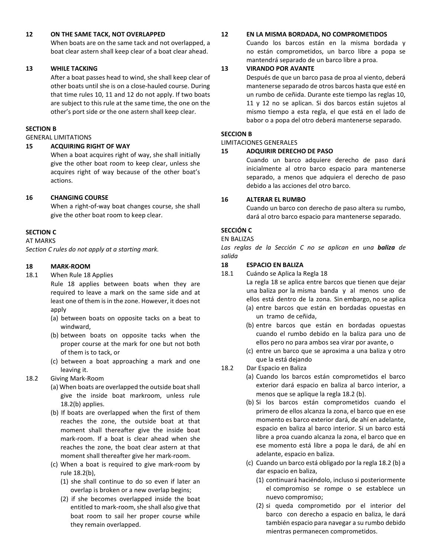# 12 ON THE SAME TACK, NOT OVERLAPPED

When boats are on the same tack and not overlapped, a boat clear astern shall keep clear of a boat clear ahead.

# 13 WHILE TACKING

After a boat passes head to wind, she shall keep clear of other boats until she is on a close-hauled course. During that time rules 10, 11 and 12 do not apply. If two boats are subject to this rule at the same time, the one on the other's port side or the one astern shall keep clear.

# SECTION B

GENERAL LIMITATIONS

# 15 ACQUIRING RIGHT OF WAY

When a boat acquires right of way, she shall initially give the other boat room to keep clear, unless she acquires right of way because of the other boat's actions.

# 16 CHANGING COURSE

When a right-of-way boat changes course, she shall give the other boat room to keep clear.

# SECTION C

# AT MARKS

Section C rules do not apply at a starting mark.

# 18 MARK-ROOM

- 18.1 When Rule 18 Applies
	- Rule 18 applies between boats when they are required to leave a mark on the same side and at least one of them is in the zone. However, it does not apply
	- (a) between boats on opposite tacks on a beat to windward,
	- (b) between boats on opposite tacks when the proper course at the mark for one but not both of them is to tack, or
	- (c) between a boat approaching a mark and one leaving it.
- 18.2 Giving Mark-Room
	- (a) When boats are overlapped the outside boat shall give the inside boat markroom, unless rule 18.2(b) applies.
	- (b) If boats are overlapped when the first of them reaches the zone, the outside boat at that moment shall thereafter give the inside boat mark-room. If a boat is clear ahead when she reaches the zone, the boat clear astern at that moment shall thereafter give her mark-room.
	- (c) When a boat is required to give mark-room by rule 18.2(b),
		- (1) she shall continue to do so even if later an overlap is broken or a new overlap begins;
		- (2) if she becomes overlapped inside the boat entitled to mark-room, she shall also give that boat room to sail her proper course while they remain overlapped.

# 12 EN LA MISMA BORDADA, NO COMPROMETIDOS

Cuando los barcos están en la misma bordada y no están comprometidos, un barco libre a popa se mantendrá separado de un barco libre a proa.

# 13 VIRANDO POR AVANTE

Después de que un barco pasa de proa al viento, deberá mantenerse separado de otros barcos hasta que esté en un rumbo de ceñida. Durante este tiempo las reglas 10, 11 y 12 no se aplican. Si dos barcos están sujetos al mismo tiempo a esta regla, el que está en el lado de babor o a popa del otro deberá mantenerse separado.

# SECCION B

LIMITACIONES GENERALES

# 15 ADQUIRIR DERECHO DE PASO

Cuando un barco adquiere derecho de paso dará inicialmente al otro barco espacio para mantenerse separado, a menos que adquiera el derecho de paso debido a las acciones del otro barco.

# 16 ALTERAR EL RUMBO

Cuando un barco con derecho de paso altera su rumbo, dará al otro barco espacio para mantenerse separado.

# SECCIÓN C

# EN BALIZAS

Las reglas de la Sección C no se aplican en una **baliza** de salida

# 18 ESPACIO EN BALIZA

- 18.1 Cuándo se Aplica la Regla 18
	- La regla 18 se aplica entre barcos que tienen que dejar una baliza por la misma banda y al menos uno de ellos está dentro de la zona. Sin embargo, no se aplica
	- (a) entre barcos que están en bordadas opuestas en un tramo de ceñida,
	- (b) entre barcos que están en bordadas opuestas cuando el rumbo debido en la baliza para uno de ellos pero no para ambos sea virar por avante, o
	- (c) entre un barco que se aproxima a una baliza y otro que la está dejando
- 18.2 Dar Espacio en Baliza
	- (a) Cuando los barcos están comprometidos el barco exterior dará espacio en baliza al barco interior, a menos que se aplique la regla 18.2 (b).
	- (b) Si los barcos están comprometidos cuando el primero de ellos alcanza la zona, el barco que en ese momento es barco exterior dará, de ahí en adelante, espacio en baliza al barco interior. Si un barco está libre a proa cuando alcanza la zona, el barco que en ese momento está libre a popa le dará, de ahí en adelante, espacio en baliza.
	- (c) Cuando un barco está obligado por la regla 18.2 (b) a dar espacio en baliza,
		- (1) continuará haciéndolo, incluso si posteriormente el compromiso se rompe o se establece un nuevo compromiso;
		- (2) si queda comprometido por el interior del barco con derecho a espacio en baliza, le dará también espacio para navegar a su rumbo debido mientras permanecen comprometidos.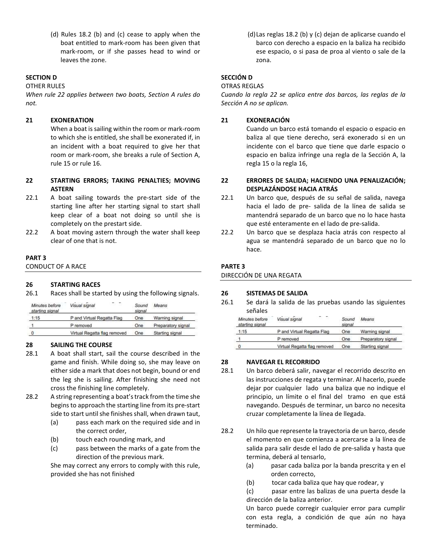(d) Rules 18.2 (b) and (c) cease to apply when the boat entitled to mark-room has been given that mark-room, or if she passes head to wind or leaves the zone.

# SECTION D

OTHER RULES

When rule 22 applies between two boats, Section A rules do not.

## 21 EXONERATION

When a boat is sailing within the room or mark-room to which she is entitled, she shall be exonerated if, in an incident with a boat required to give her that room or mark-room, she breaks a rule of Section A, rule 15 or rule 16.

# 22 STARTING ERRORS; TAKING PENALTIES; MOVING ASTERN

- 22.1 A boat sailing towards the pre-start side of the starting line after her starting signal to start shall keep clear of a boat not doing so until she is completely on the prestart side.
- 22.2 A boat moving astern through the water shall keep clear of one that is not.

#### PART 3

CONDUCT OF A RACE

#### 26 STARTING RACES

26.1 Races shall be started by using the following signals.

| Minutes before<br>starting signal | Visual signal                | Sound<br>signal | Means              |
|-----------------------------------|------------------------------|-----------------|--------------------|
| 1:15                              | P and Virtual Regatta Flag   | One             | Warning signal     |
|                                   | P removed                    | One             | Preparatory signal |
| $\theta$                          | Virtual Regatta flag removed | One             | Starting signal    |

# 28 SAILING THE COURSE

- 28.1 A boat shall start, sail the course described in the game and finish. While doing so, she may leave on either side a mark that does not begin, bound or end the leg she is sailing. After finishing she need not cross the finishing line completely.
- 28.2 A string representing a boat's track from the time she begins to approach the starting line from its pre-start side to start until she finishes shall, when drawn taut,
	- (a) pass each mark on the required side and in the correct order,
	- (b) touch each rounding mark, and
	- (c) pass between the marks of a gate from the direction of the previous mark.

She may correct any errors to comply with this rule, provided she has not finished

 (d) Las reglas 18.2 (b) y (c) dejan de aplicarse cuando el barco con derecho a espacio en la baliza ha recibido ese espacio, o si pasa de proa al viento o sale de la zona.

# SECCIÓN D

# OTRAS REGLAS

Cuando la regla 22 se aplica entre dos barcos, las reglas de la Sección A no se aplican.

# 21 EXONERACIÓN

Cuando un barco está tomando el espacio o espacio en baliza al que tiene derecho, será exonerado si en un incidente con el barco que tiene que darle espacio o espacio en baliza infringe una regla de la Sección A, la regla 15 o la regla 16,

# 22 ERRORES DE SALIDA; HACIENDO UNA PENALIZACIÓN; DESPLAZÁNDOSE HACIA ATRÁS

- 22.1 Un barco que, después de su señal de salida, navega hacia el lado de pre- salida de la línea de salida se mantendrá separado de un barco que no lo hace hasta que esté enteramente en el lado de pre-salida.
- 22.2 Un barco que se desplaza hacia atrás con respecto al agua se mantendrá separado de un barco que no lo hace.

# PARTE 3

DIRECCIÓN DE UNA REGATA

#### 26 SISTEMAS DE SALIDA

26.1 Se dará la salida de las pruebas usando las siguientes señales

| Minutes before<br>starting signal | Visual signal<br><b>STORY</b> | Sound<br>signal | Means              |
|-----------------------------------|-------------------------------|-----------------|--------------------|
| 1:15                              | P and Virtual Regatta Flag    | One             | Warning signal     |
|                                   | P removed                     | One             | Preparatory signal |
| 0                                 | Virtual Regatta flag removed  | One             | Starting signal    |

#### 28 NAVEGAR EL RECORRIDO

- 28.1 Un barco deberá salir, navegar el recorrido descrito en las instrucciones de regata y terminar. Al hacerlo, puede dejar por cualquier lado una baliza que no indique el principio, un límite o el final del tramo en que está navegando. Después de terminar, un barco no necesita cruzar completamente la línea de llegada.
- 28.2 Un hilo que represente la trayectoria de un barco, desde el momento en que comienza a acercarse a la línea de salida para salir desde el lado de pre-salida y hasta que termina, deberá al tensarlo,
	- (a) pasar cada baliza por la banda prescrita y en el orden correcto,
	- (b) tocar cada baliza que hay que rodear, y

(c) pasar entre las balizas de una puerta desde la dirección de la baliza anterior.

Un barco puede corregir cualquier error para cumplir con esta regla, a condición de que aún no haya terminado.